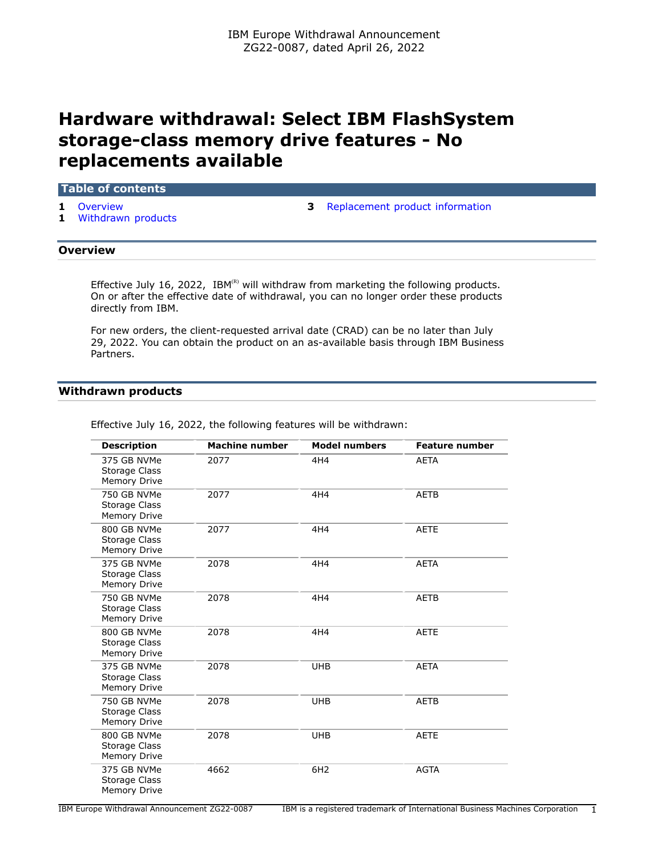# **Hardware withdrawal: Select IBM FlashSystem storage-class memory drive features - No replacements available**

#### **Table of contents**

- 
- **1** [Withdrawn products](#page-0-1)
- **1** [Overview](#page-0-0) **3** [Replacement product information](#page-2-0)

#### <span id="page-0-0"></span>**Overview**

Effective July 16, 2022, IBM $^{(R)}$  will withdraw from marketing the following products. On or after the effective date of withdrawal, you can no longer order these products directly from IBM.

For new orders, the client-requested arrival date (CRAD) can be no later than July 29, 2022. You can obtain the product on an as-available basis through IBM Business Partners.

# <span id="page-0-1"></span>**Withdrawn products**

| <b>Description</b>                                         | <b>Machine number</b> | <b>Model numbers</b> | <b>Feature number</b> |
|------------------------------------------------------------|-----------------------|----------------------|-----------------------|
| 375 GB NVMe<br>Storage Class<br><b>Memory Drive</b>        | 2077                  | 4H4                  | <b>AETA</b>           |
| 750 GB NVMe<br>Storage Class<br><b>Memory Drive</b>        | 2077                  | 4H4                  | <b>AETB</b>           |
| 800 GB NVMe<br>Storage Class<br><b>Memory Drive</b>        | 2077                  | 4H4                  | <b>AETE</b>           |
| 375 GB NVMe<br>Storage Class<br>Memory Drive               | 2078                  | 4H4                  | <b>AETA</b>           |
| 750 GB NVMe<br><b>Storage Class</b><br><b>Memory Drive</b> | 2078                  | 4H4                  | <b>AETB</b>           |
| 800 GB NVMe<br>Storage Class<br><b>Memory Drive</b>        | 2078                  | 4H4                  | <b>AETE</b>           |
| 375 GB NVMe<br>Storage Class<br><b>Memory Drive</b>        | 2078                  | <b>UHB</b>           | <b>AETA</b>           |
| 750 GB NVMe<br>Storage Class<br><b>Memory Drive</b>        | 2078                  | <b>UHB</b>           | <b>AETB</b>           |
| 800 GB NVMe<br>Storage Class<br><b>Memory Drive</b>        | 2078                  | <b>UHB</b>           | <b>AETE</b>           |
| 375 GB NVMe<br>Storage Class<br><b>Memory Drive</b>        | 4662                  | 6H <sub>2</sub>      | <b>AGTA</b>           |

Effective July 16, 2022, the following features will be withdrawn: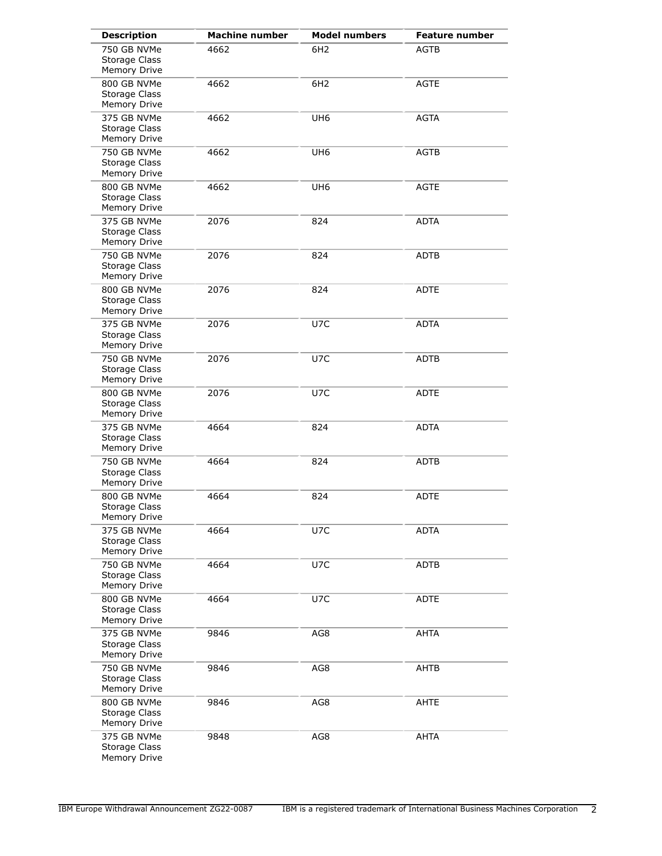| <b>Description</b>                                  | <b>Machine number</b> | <b>Model numbers</b> | <b>Feature number</b> |
|-----------------------------------------------------|-----------------------|----------------------|-----------------------|
| 750 GB NVMe<br><b>Storage Class</b><br>Memory Drive | 4662                  | 6H <sub>2</sub>      | <b>AGTB</b>           |
| 800 GB NVMe<br>Storage Class<br>Memory Drive        | 4662                  | 6H <sub>2</sub>      | <b>AGTE</b>           |
| 375 GB NVMe<br>Storage Class<br>Memory Drive        | 4662                  | UH <sub>6</sub>      | <b>AGTA</b>           |
| 750 GB NVMe<br>Storage Class<br>Memory Drive        | 4662                  | UH <sub>6</sub>      | <b>AGTB</b>           |
| 800 GB NVMe<br>Storage Class<br>Memory Drive        | 4662                  | UH <sub>6</sub>      | <b>AGTE</b>           |
| 375 GB NVMe<br>Storage Class<br>Memory Drive        | 2076                  | 824                  | <b>ADTA</b>           |
| 750 GB NVMe<br>Storage Class<br>Memory Drive        | 2076                  | 824                  | ADTB                  |
| 800 GB NVMe<br>Storage Class<br>Memory Drive        | 2076                  | 824                  | <b>ADTE</b>           |
| 375 GB NVMe<br>Storage Class<br>Memory Drive        | 2076                  | U7C                  | <b>ADTA</b>           |
| 750 GB NVMe<br>Storage Class<br>Memory Drive        | 2076                  | U7C                  | ADTB                  |
| 800 GB NVMe<br><b>Storage Class</b><br>Memory Drive | 2076                  | U7C                  | <b>ADTE</b>           |
| 375 GB NVMe<br>Storage Class<br>Memory Drive        | 4664                  | 824                  | <b>ADTA</b>           |
| 750 GB NVMe<br>Storage Class<br>Memory Drive        | 4664                  | 824                  | <b>ADTB</b>           |
| 800 GB NVMe<br>Storage Class<br>Memory Drive        | 4664                  | 824                  | <b>ADTE</b>           |
| 375 GB NVMe<br>Storage Class<br>Memory Drive        | 4664                  | U7C                  | <b>ADTA</b>           |
| 750 GB NVMe<br>Storage Class<br>Memory Drive        | 4664                  | U7C                  | <b>ADTB</b>           |
| 800 GB NVMe<br><b>Storage Class</b><br>Memory Drive | 4664                  | U7C                  | ADTE                  |
| 375 GB NVMe<br><b>Storage Class</b><br>Memory Drive | 9846                  | AG8                  | <b>AHTA</b>           |
| 750 GB NVMe<br>Storage Class<br>Memory Drive        | 9846                  | AG8                  | AHTB                  |
| 800 GB NVMe<br><b>Storage Class</b><br>Memory Drive | 9846                  | AG8                  | AHTE                  |
| 375 GB NVMe<br><b>Storage Class</b><br>Memory Drive | 9848                  | AG8                  | AHTA                  |